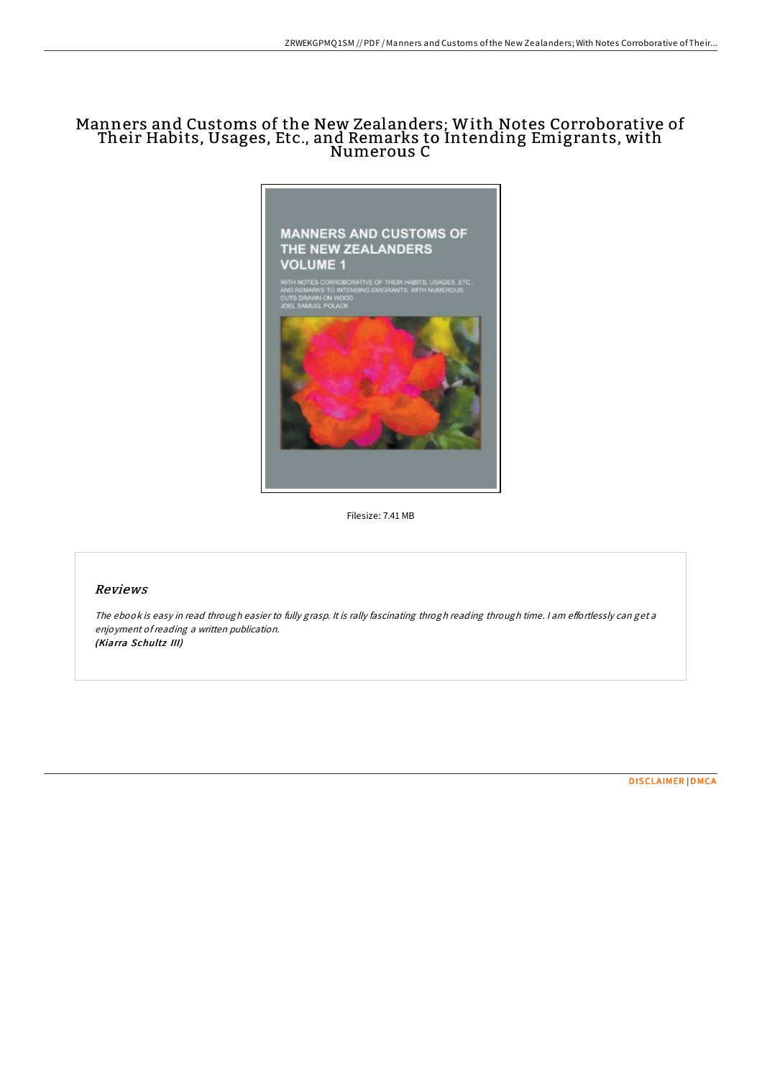# Manners and Customs of the New Zealanders; With Notes Corroborative of Their Habits, Usages, Etc., and Remarks to Intending Emigrants, with Numerous C



Filesize: 7.41 MB

## Reviews

The ebook is easy in read through easier to fully grasp. It is rally fascinating throgh reading through time. I am effortlessly can get a enjoyment ofreading <sup>a</sup> written publication. (Kiarra Schultz III)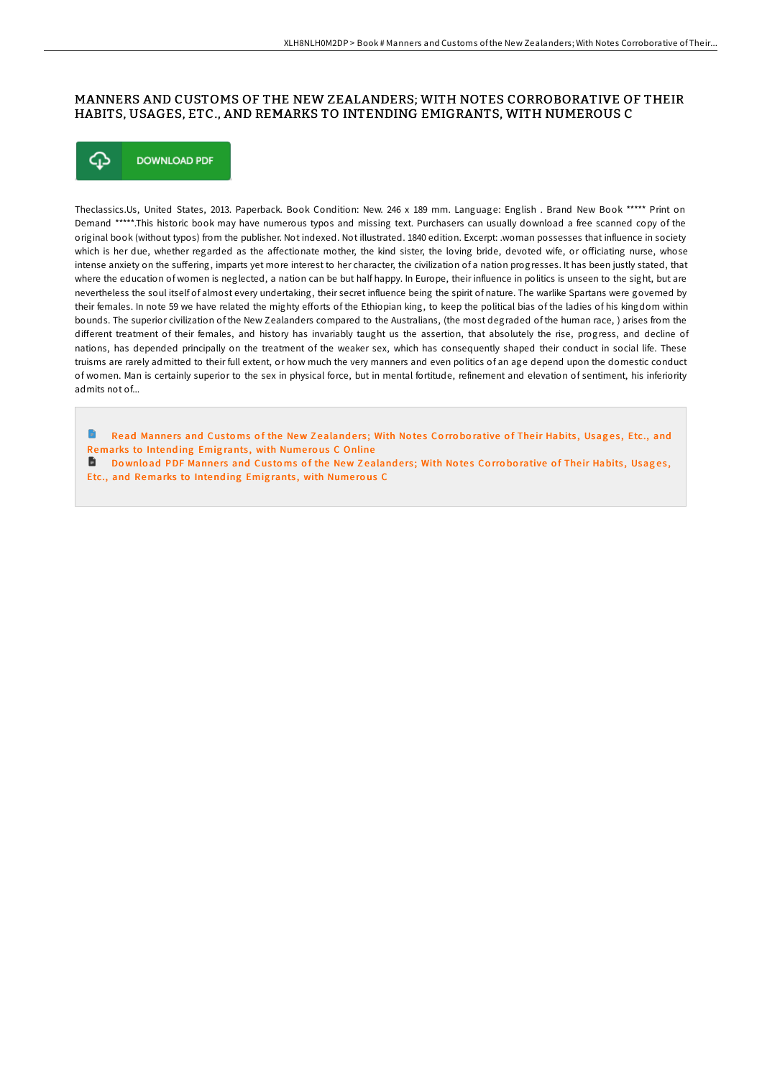## MANNERS AND CUSTOMS OF THE NEW ZEALANDERS; WITH NOTES CORROBORATIVE OF THEIR HABITS, USAGES, ETC., AND REMARKS TO INTENDING EMIGRANTS, WITH NUMEROUS C



Theclassics.Us, United States, 2013. Paperback. Book Condition: New. 246 x 189 mm. Language: English . Brand New Book \*\*\*\*\* Print on Demand \*\*\*\*\*.This historic book may have numerous typos and missing text. Purchasers can usually download a free scanned copy of the original book (without typos) from the publisher. Not indexed. Not illustrated. 1840 edition. Excerpt: .woman possesses that influence in society which is her due, whether regarded as the affectionate mother, the kind sister, the loving bride, devoted wife, or officiating nurse, whose intense anxiety on the suffering, imparts yet more interest to her character, the civilization of a nation progresses. It has been justly stated, that where the education of women is neglected, a nation can be but half happy. In Europe, their influence in politics is unseen to the sight, but are nevertheless the soul itself of almost every undertaking, their secret influence being the spirit of nature. The warlike Spartans were governed by their females. In note 59 we have related the mighty efforts of the Ethiopian king, to keep the political bias of the ladies of his kingdom within bounds. The superior civilization of the New Zealanders compared to the Australians, (the most degraded of the human race, ) arises from the different treatment of their females, and history has invariably taught us the assertion, that absolutely the rise, progress, and decline of nations, has depended principally on the treatment of the weaker sex, which has consequently shaped their conduct in social life. These truisms are rarely admitted to their full extent, or how much the very manners and even politics of an age depend upon the domestic conduct of women. Man is certainly superior to the sex in physical force, but in mental fortitude, refinement and elevation of sentiment, his inferiority admits not of...

**Read Manners and Customs of the New Zealanders: With Notes Corroborative of Their Habits, Usages, Etc., and** [Remarks](http://almighty24.tech/manners-and-customs-of-the-new-zealanders-with-n.html) to Intending Emigrants, with Numerous C Online

Download PDF Manners and Customs of the New Zealanders; With Notes Corroborative of Their Habits, Usages, Etc., and [Remarks](http://almighty24.tech/manners-and-customs-of-the-new-zealanders-with-n.html) to Intending Emigrants, with Numerous C